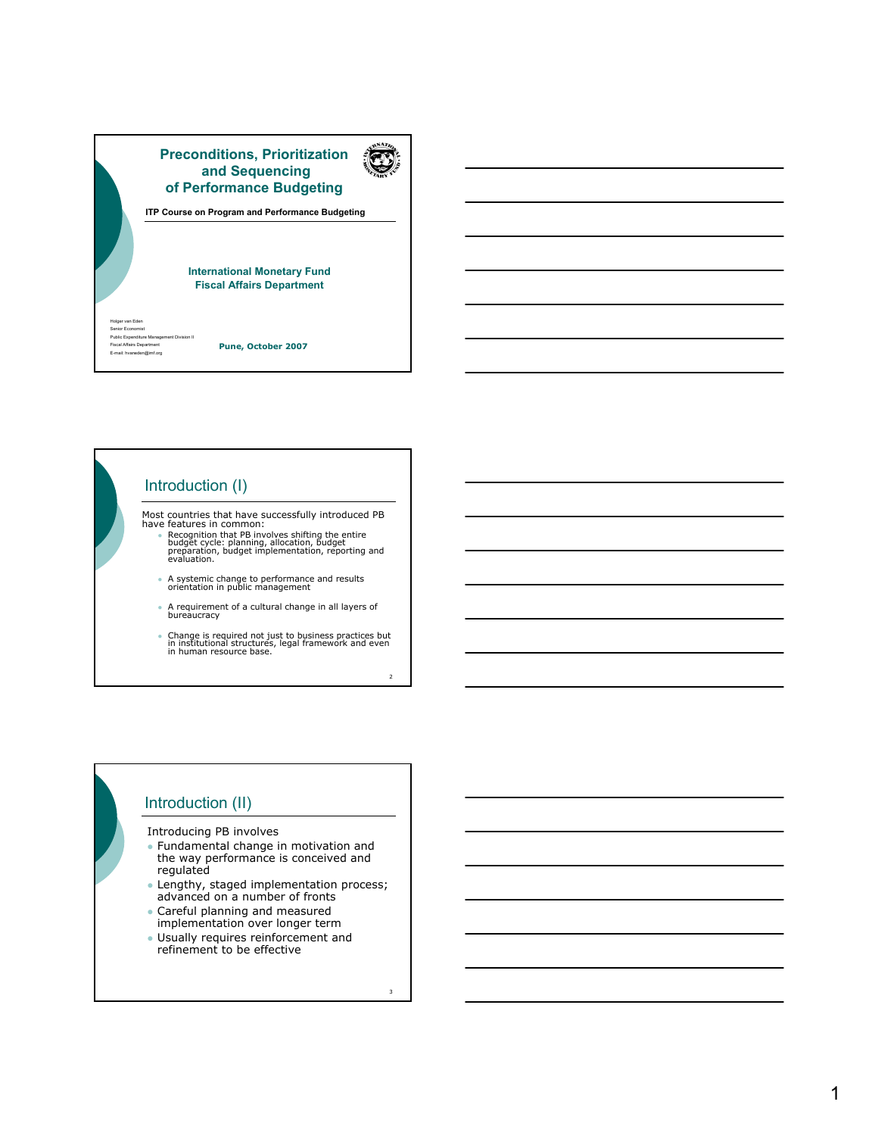

Introduction (I)

Most countries that have successfully introduced PB have features in common:

- Recognition that PB involves shifting the entire<br>budget cycle: planning, allocation, budget<br>preparation, budget implementation, reporting and<br>evaluation.
- A systemic change to performance and results orientation in public management
- A requirement of a cultural change in all layers of bureaucracy
- <sup>z</sup> Change is required not just to business practices but in institutional structures, legal framework and even in human resource base.

 $\overline{2}$ 

3

# Introduction (II)

Introducing PB involves

- Fundamental change in motivation and the way performance is conceived and regulated
- Lengthy, staged implementation process; advanced on a number of fronts
- Careful planning and measured implementation over longer term
- **J** Usually requires reinforcement and refinement to be effective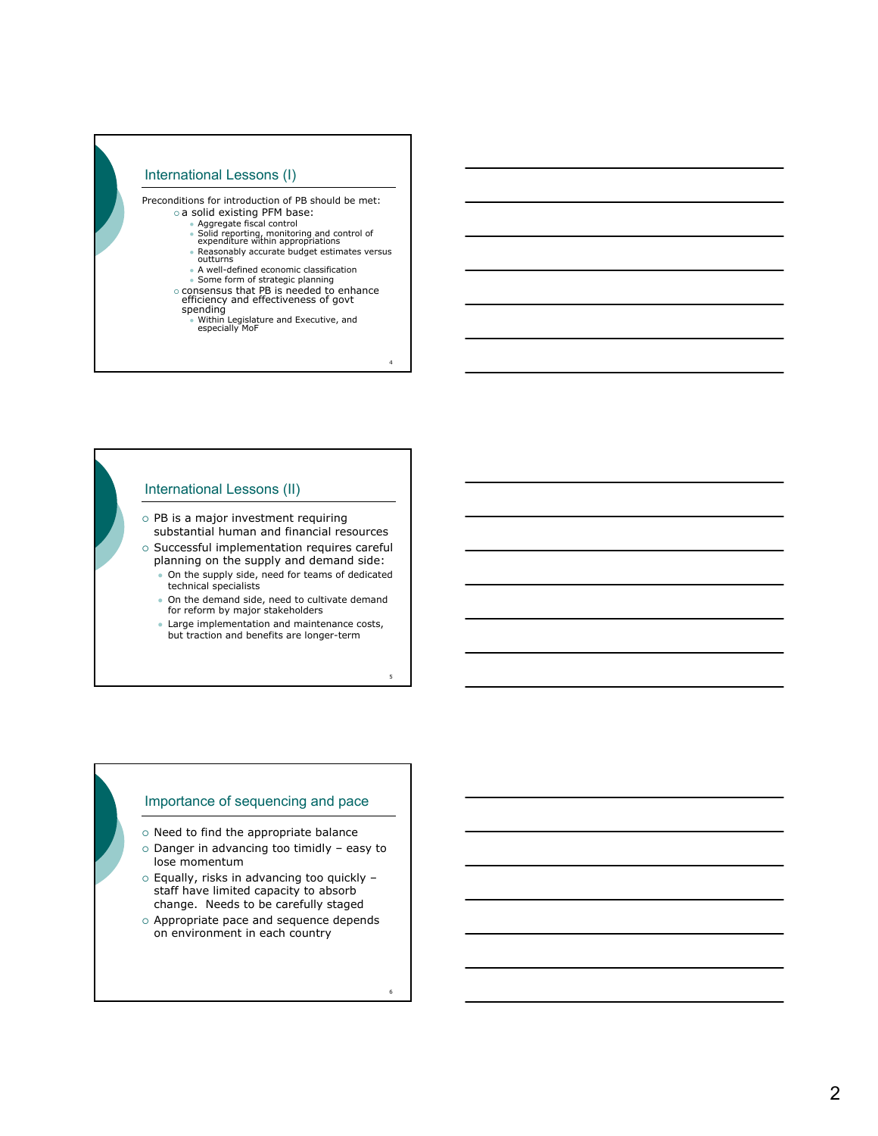

### International Lessons (II)

- $\circ$  PB is a major investment requiring substantial human and financial resources
- $\circ$  Successful implementation requires careful planning on the supply and demand side:
	- On the supply side, need for teams of dedicated technical specialists
	- $\bullet$  On the demand side, need to cultivate demand for reform by major stakeholders
	- Large implementation and maintenance costs, but traction and benefits are longer-term

5

6

#### Importance of sequencing and pace

- $\circ$  Need to find the appropriate balance
- $\circ$  Danger in advancing too timidly easy to lose momentum
- { Equally, risks in advancing too quickly staff have limited capacity to absorb change. Needs to be carefully staged
- $\circ$  Appropriate pace and sequence depends on environment in each country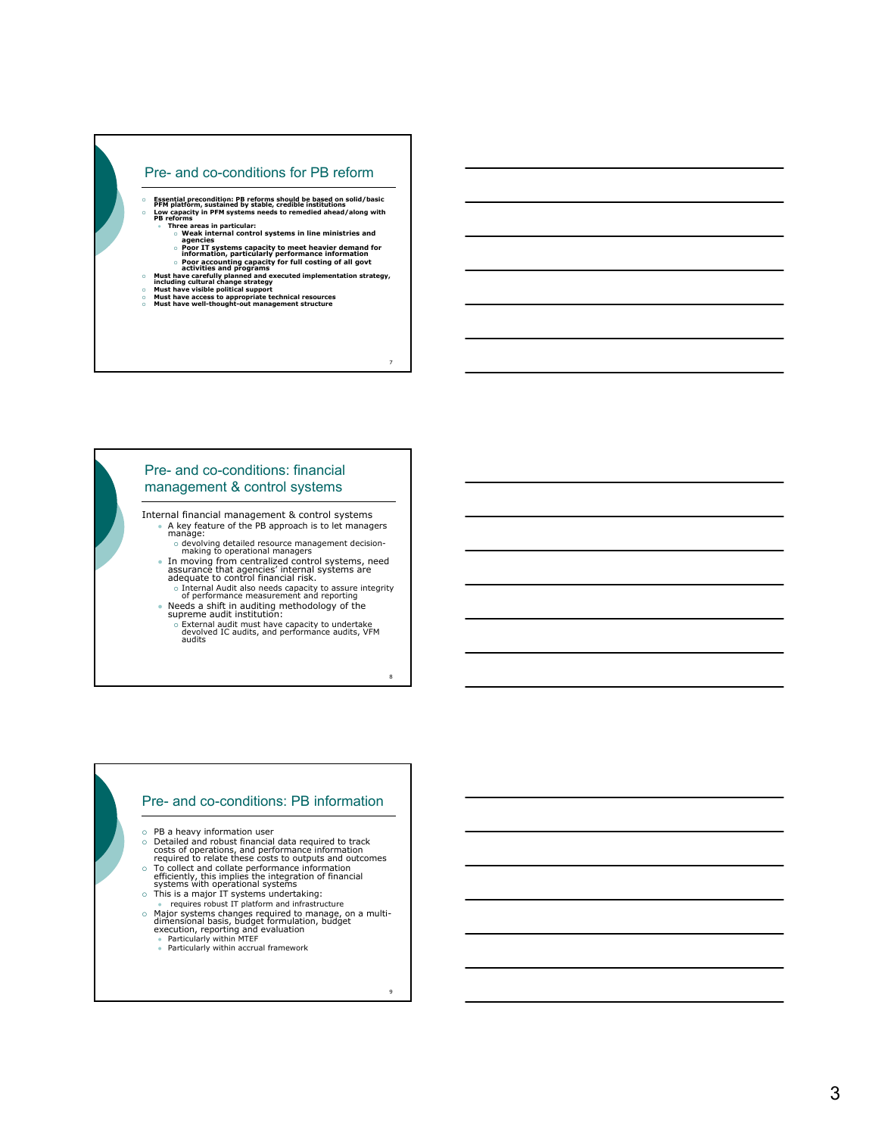### Pre- and co-conditions for PB reform

- Essential precondition: PB reforms should be based on solid/basic<br>PFM platform, sustained by stable, credible institutions<br>○ DB reforms<br>PB reforms
	- z **Three areas in particular:** { **Weak internal control systems in line ministries and agencies**
		-
		-
- $\circ$  Poor IT systems capacity to meet heavier demand for<br>information, particularly performance information<br> $\circ$  Poor accounting capacity for full costing of all govt<br>activities and programs<br>including cultural change strat

7

8

9

- 
- 

# Pre- and co-conditions: financial management & control systems

- Internal financial management & control systems • A key feature of the PB approach is to let managers manage:
	- { devolving detailed resource management decision-making to operational managers <sup>z</sup> In moving from centralized control systems, need assurance that agencies' internal systems are adequate to control financial risk.
	-
	- { Internal Audit also needs capacity to assure integrity of performance measurement and reporting <sup>z</sup> Needs a shift in auditing methodology of the supreme audit institution:
		- o External audit must have capacity to undertake<br>devolved IC audits, and performance audits, VFM<br>audits

#### Pre- and co-conditions: PB information

- $\circ$  PB a heavy information user
- 
- { Detailed and robust financial data required to track costs of operations, and performance information required to relate these costs to outputs and outcomes
- To collect and collate performance information efficiently, this implies the integration of financial systems with operational systems<br>systems with operational systems<br>o This is a major IT systems undertaking:
- 
- 
- requires robust IT platform and infrastructure<br>
o Major systems changes required to manage, on a multi-<br>
dimensional basis, budget formulation, budget<br>
 Particularly within MTEF<br>
 Particularly within accrual framework<br>
	-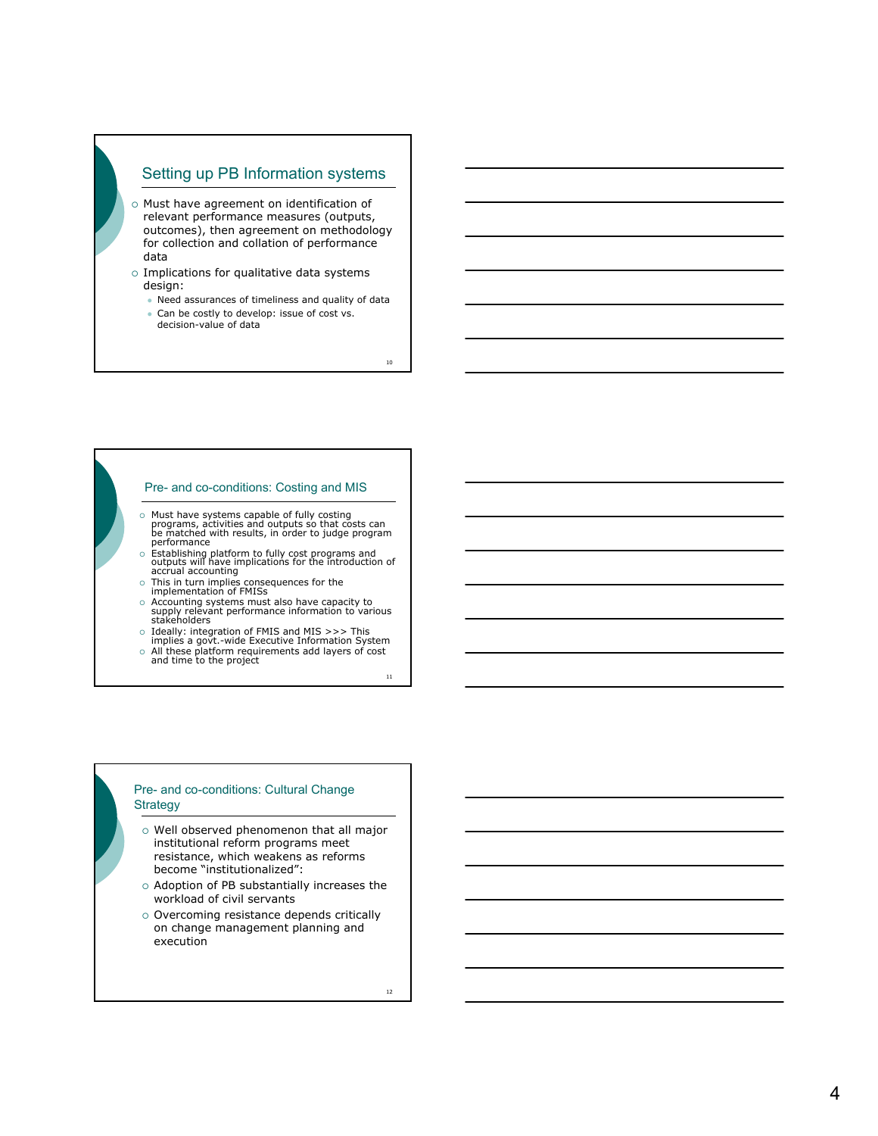# Setting up PB Information systems

- o Must have agreement on identification of relevant performance measures (outputs, outcomes), then agreement on methodology for collection and collation of performance data
- $\circ$  Implications for qualitative data systems design:
	- $\bullet$  Need assurances of timeliness and quality of data
	- Can be costly to develop: issue of cost vs. decision-value of data

10

#### Pre- and co-conditions: Costing and MIS

- $\circ$  Must have systems capable of fully costing<br>programs, activities and outputs so that costs can<br>be matched with results, in order to judge program<br>performance
- o Establishing platform to fully cost programs and<br>outputs will have implications for the introduction of<br>accrual accounting
- o This in turn implies consequences for the implementation of FMISs
- o Accounting systems must also have capacity to<br>supply relevant performance information to various<br>stakeholders
- { Ideally: integration of FMIS and MIS >>> This implies a govt.-wide Executive Information System
- { All these platform requirements add layers of cost and time to the project

11

#### Pre- and co-conditions: Cultural Change **Strategy**

- $\circ$  Well observed phenomenon that all major institutional reform programs meet resistance, which weakens as reforms become "institutionalized":
- $\circ$  Adoption of PB substantially increases the workload of civil servants
- o Overcoming resistance depends critically on change management planning and execution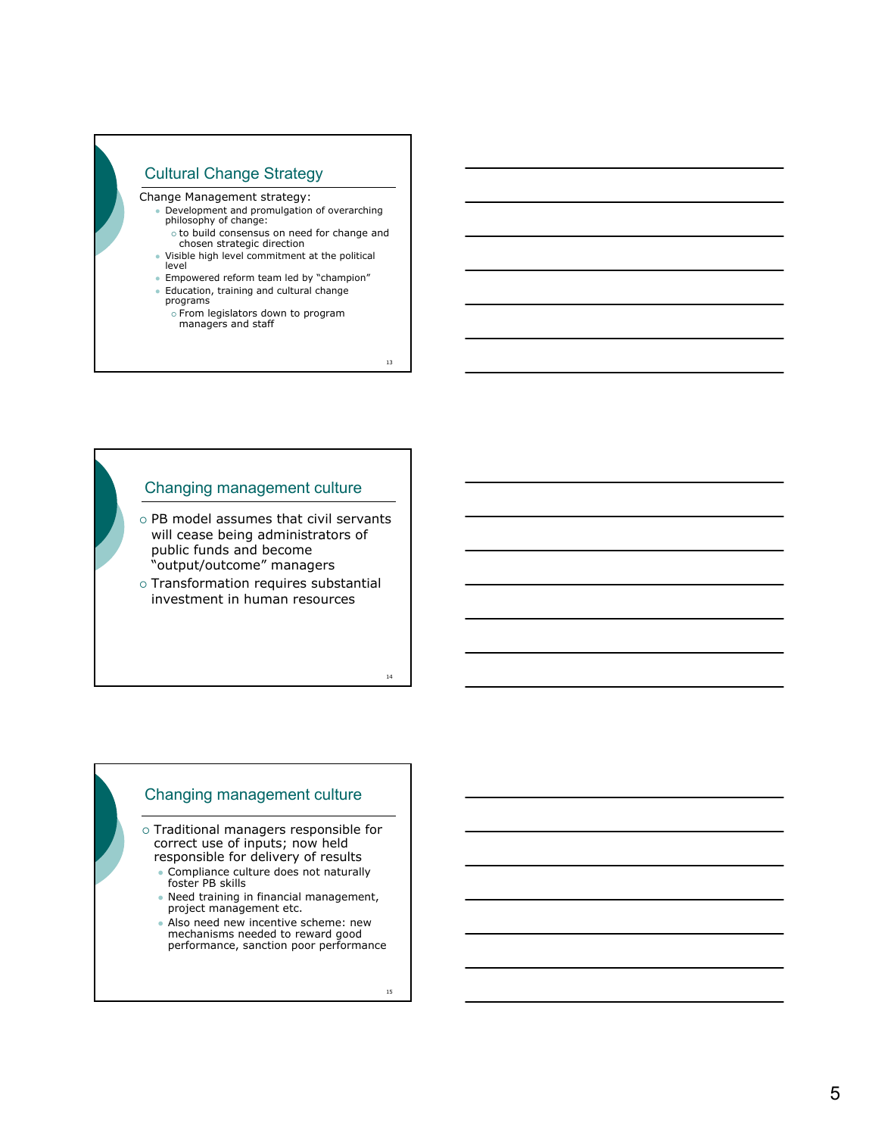

13

14

# Changing management culture

 $\circ$  PB model assumes that civil servants will cease being administrators of public funds and become "output/outcome" managers

 $\circ$  Transformation requires substantial investment in human resources

# Changing management culture

o Traditional managers responsible for correct use of inputs; now held

- responsible for delivery of results Compliance culture does not naturally foster PB skills
- Need training in financial management,<br>project management etc.
- Also need new incentive scheme: new
- mechanisms needed to reward good performance, sanction poor performance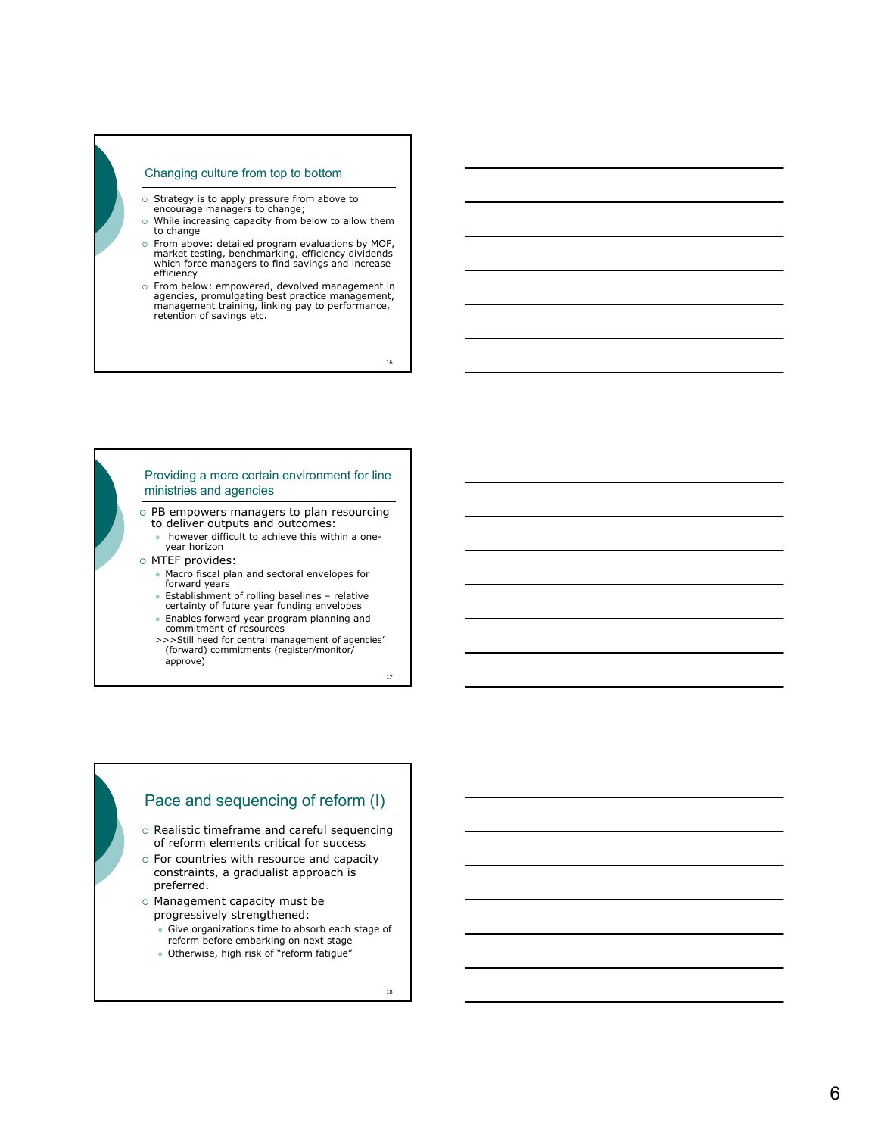#### Changing culture from top to bottom

- { Strategy is to apply pressure from above to encourage managers to change;
- $\circ$  While increasing capacity from below to allow them to change
- { From above: detailed program evaluations by MOF, market testing, benchmarking, efficiency dividends which force managers to find savings and increase efficiency
- o From below: empowered, devolved management in agencies, promulgating best practice management, management, promulgating, linking pay to performance, retention of savings etc.

16

#### Providing a more certain environment for line ministries and agencies

 $\circ$  PB empowers managers to plan resourcing to deliver outputs and outcomes:

- however difficult to achieve this within a oneyear horizon
- o MTEF provides:
	- Macro fiscal plan and sectoral envelopes for forward years
	- Establishment of rolling baselines relative<br>certainty of future year funding envelopes
	- Enables forward year program planning and commitment of resources
	- >>>Still need for central management of agencies' (forward) commitments (register/monitor/ approve)

17

# Pace and sequencing of reform (I)

- o Realistic timeframe and careful sequencing of reform elements critical for success
- $\circ$  For countries with resource and capacity constraints, a gradualist approach is preferred.
- o Management capacity must be progressively strengthened:
	- Give organizations time to absorb each stage of reform before embarking on next stage
	- Otherwise, high risk of "reform fatigue"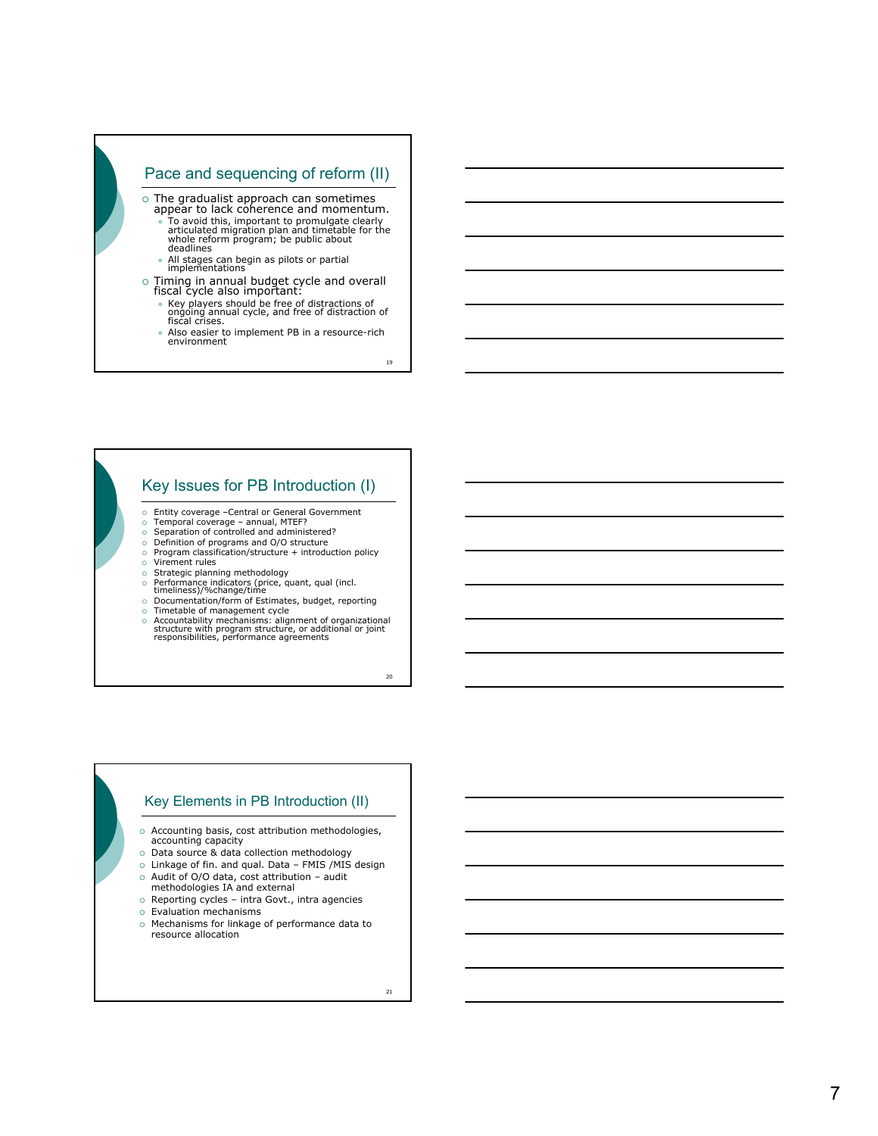

- ongoing annual cycle, and free of distraction of fiscal crises.
- Also easier to implement PB in a resource-rich environment

19

# Key Issues for PB Introduction (I)

- $\circ$  Entity coverage –Central or General Government  $\circ$  Temporal coverage annual, MTEF?
- 
- $\circ$  Temporal coverage annual, MTEF?<br>⊙ Separation of controlled and administered?<br>⊙ Definition of programs and O/O structure
- { Program classification/structure + introduction policy { Virement rules
- 
- © Strategic planning methodology<br>⊙ Performance indicators (price, quant, qual (incl.<br>timeliness)/%change/time
- { Documentation/form of Estimates, budget, reporting
- o Timetable of management cycle<br>6 Accountability mechanisms: alignment of organizational<br>structure with program structure, or additional or joint<br>responsibilities, performance agreements

 $20<sup>2</sup>$ 

#### Key Elements in PB Introduction (II)

- $\circ$  Accounting basis, cost attribution methodologies, accounting capacity
- { Data source & data collection methodology
- { Linkage of fin. and qual. Data FMIS /MIS design
- $\circ$  Audit of O/O data, cost attribution audit methodologies IA and external
- $\circ$  Reporting cycles intra Govt., intra agencies
- { Evaluation mechanisms
- { Mechanisms for linkage of performance data to resource allocation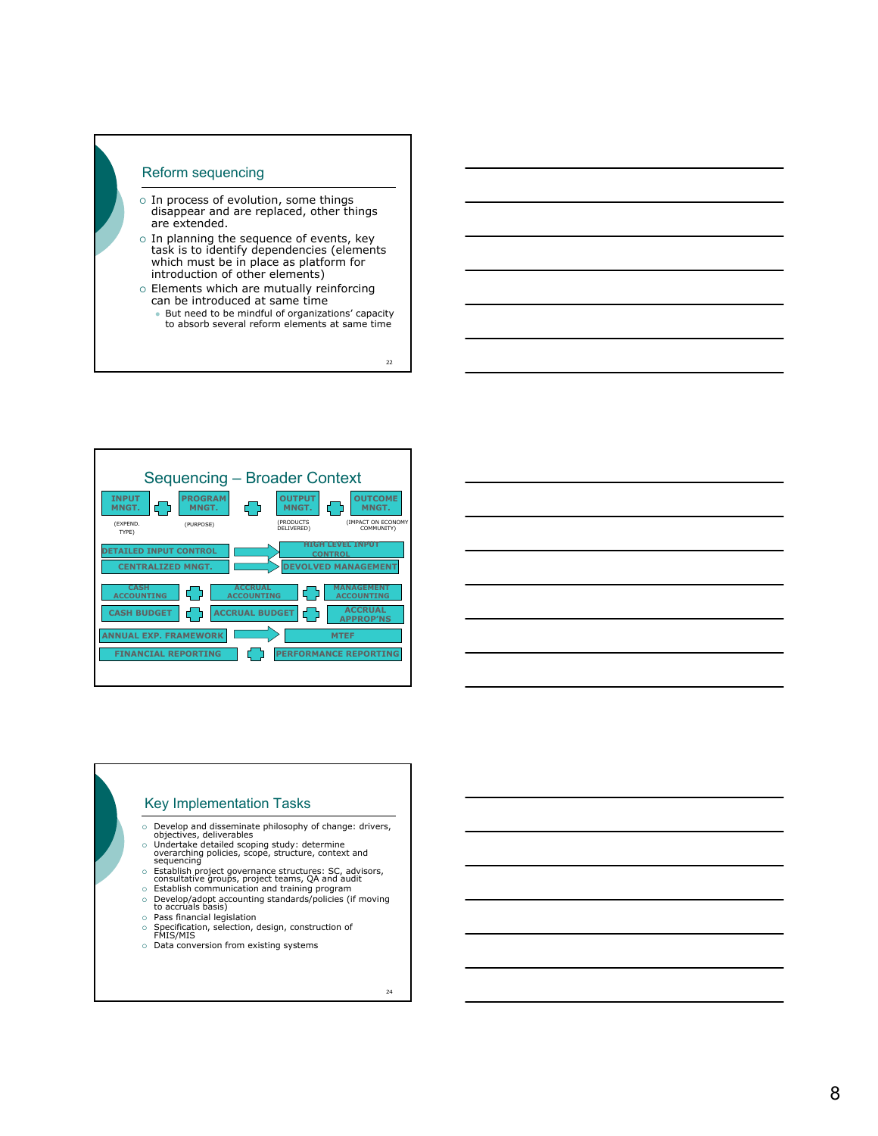# Reform sequencing

- $\circ$  In process of evolution, some things disappear and are replaced, other things are extended.
- $\circ$  In planning the sequence of events, key task is to identify dependencies (elements which must be in place as platform for introduction of other elements)
- $\circ$  Elements which are mutually reinforcing can be introduced at same time
	- But need to be mindful of organizations' capacity to absorb several reform elements at same time

 $22$ 



# Key Implementation Tasks

- 
- 
- O Develop and disseminate philosophy of change: drivers,<br>
objectives, deliverables<br>
c Undertake detailed scoping study: determine<br>
overarching policies, scope, structure, context and<br>
sequencing<br>
o Establish project govern
- 
- © Establish communication and training program<br>
∂ Develop/adopt accounting standards/policies (if moving<br>
to accruals basis)<br>
Pass financial legislation<br>
PS Specification, selection, design, construction of<br>
FMIS/MIS
- 
- 
- 
- $\circ$  Data conversion from existing systems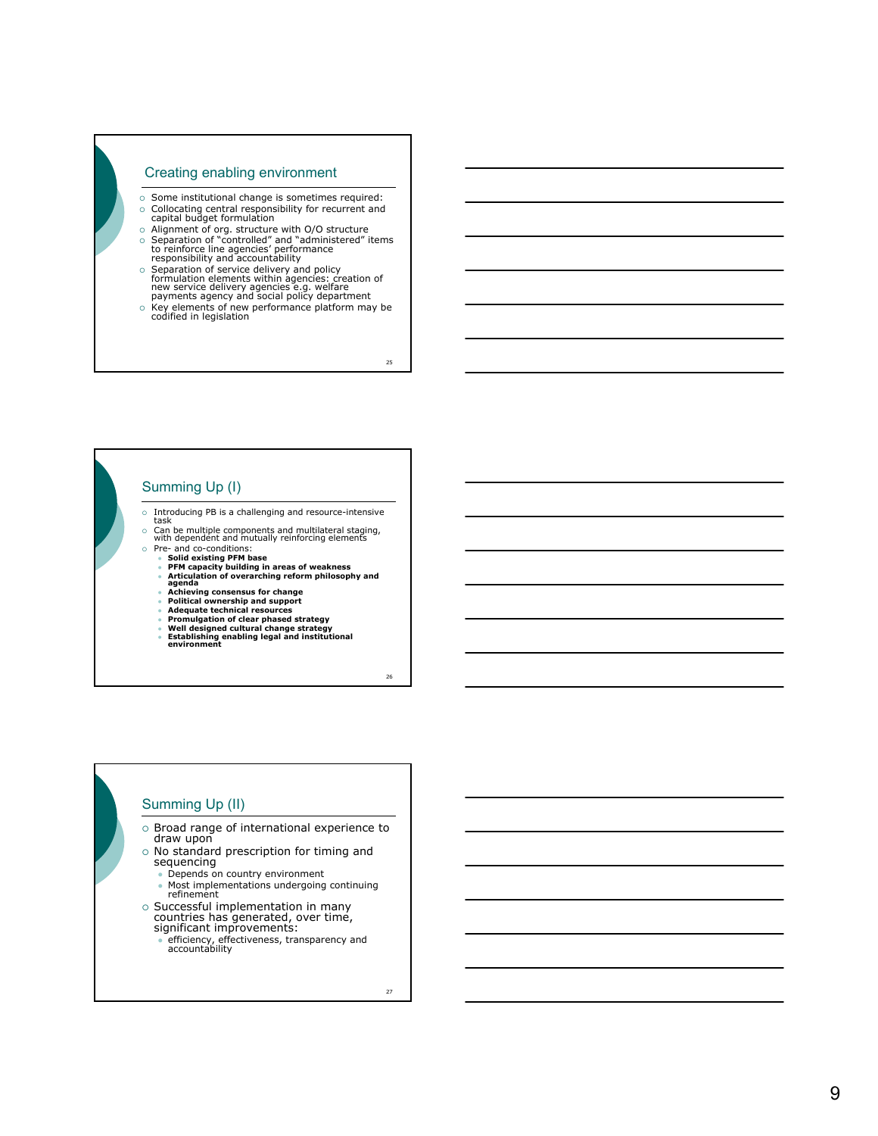#### Creating enabling environment

- $\circ$  Some institutional change is sometimes required: { Collocating central responsibility for recurrent and capital budget formulation
- 
- o Alignment of org. structure with O/O structure<br>
↓ Separation of "controlled" and "administered" items<br>
to reinforce line agencies' performance<br>
responsibility and accountability
- Separation of service delivery and policy<br>formulation elements within agencies: creation of<br>new service delivery agencies e.g. welfare<br>payments agency and social policy department<br>○ Key elements of new performance platf
- 

 $25$ 

# Summing Up (I)

- { Introducing PB is a challenging and resource-intensive task
- o Can be multiple components and multilateral staging, with dependent and mutually reinforcing elements
	-
	-
- © Pre- and co-conditions:<br>
 Solid existing PFM base<br>
 PFM capacity building in areas of weakness<br>
 PFM capacity building in areas of weakness<br>
agenda<br>
 Achieving consensus for change<br>
 Political ownership and support
	-
	-
	-
	-
	-

26

# Summing Up (II)

- o Broad range of international experience to
- draw upon o No standard prescription for timing and
	- sequencing Depends on country environment
	- Most implementations undergoing continuing refinement
- $\circ$  Successful implementation in many countries has generated, over time, significant improvements:
	- efficiency, effectiveness, transparency and<br>accountability